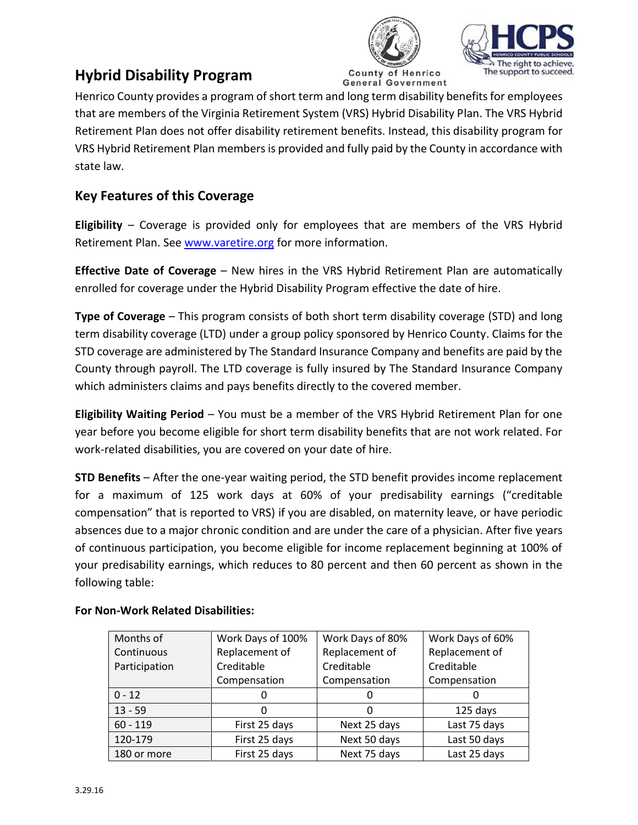



# **Hybrid Disability Program**

Henrico **General Government** 

Henrico County provides a program of short term and long term disability benefits for employees that are members of the Virginia Retirement System (VRS) Hybrid Disability Plan. The VRS Hybrid Retirement Plan does not offer disability retirement benefits. Instead, this disability program for VRS Hybrid Retirement Plan members is provided and fully paid by the County in accordance with state law.

# **Key Features of this Coverage**

**Eligibility** – Coverage is provided only for employees that are members of the VRS Hybrid Retirement Plan. See [www.varetire.org](http://www.varetire.org/) for more information.

**Effective Date of Coverage** – New hires in the VRS Hybrid Retirement Plan are automatically enrolled for coverage under the Hybrid Disability Program effective the date of hire.

**Type of Coverage** – This program consists of both short term disability coverage (STD) and long term disability coverage (LTD) under a group policy sponsored by Henrico County. Claims for the STD coverage are administered by The Standard Insurance Company and benefits are paid by the County through payroll. The LTD coverage is fully insured by The Standard Insurance Company which administers claims and pays benefits directly to the covered member.

**Eligibility Waiting Period** – You must be a member of the VRS Hybrid Retirement Plan for one year before you become eligible for short term disability benefits that are not work related. For work-related disabilities, you are covered on your date of hire.

**STD Benefits** – After the one-year waiting period, the STD benefit provides income replacement for a maximum of 125 work days at 60% of your predisability earnings ("creditable compensation" that is reported to VRS) if you are disabled, on maternity leave, or have periodic absences due to a major chronic condition and are under the care of a physician. After five years of continuous participation, you become eligible for income replacement beginning at 100% of your predisability earnings, which reduces to 80 percent and then 60 percent as shown in the following table:

| Months of     | Work Days of 100% | Work Days of 80% | Work Days of 60% |
|---------------|-------------------|------------------|------------------|
| Continuous    | Replacement of    | Replacement of   | Replacement of   |
| Participation | Creditable        | Creditable       | Creditable       |
|               | Compensation      | Compensation     | Compensation     |
| $0 - 12$      |                   | O                |                  |
| $13 - 59$     |                   | 0                | 125 days         |
| $60 - 119$    | First 25 days     | Next 25 days     | Last 75 days     |
| 120-179       | First 25 days     | Next 50 days     | Last 50 days     |
| 180 or more   | First 25 days     | Next 75 days     | Last 25 days     |

# **For Non-Work Related Disabilities:**